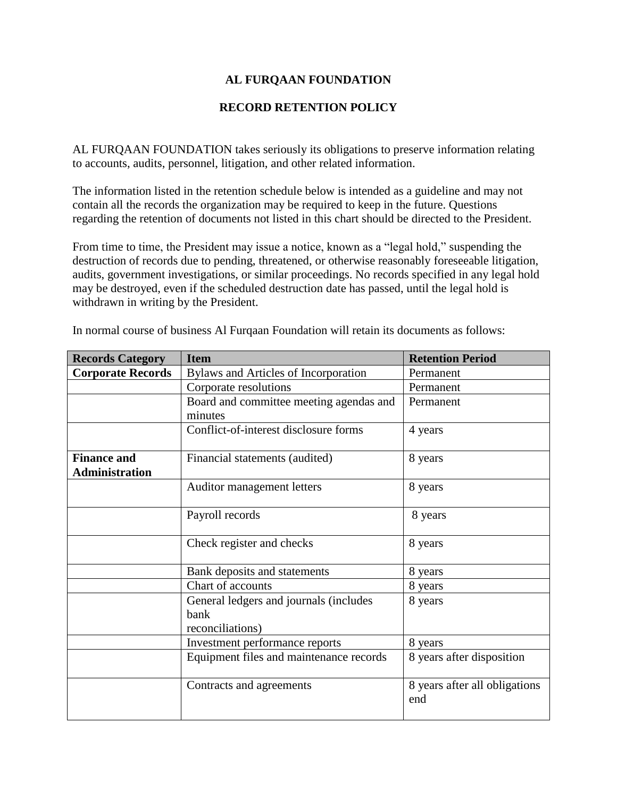# **AL FURQAAN FOUNDATION**

#### **RECORD RETENTION POLICY**

AL FURQAAN FOUNDATION takes seriously its obligations to preserve information relating to accounts, audits, personnel, litigation, and other related information.

The information listed in the retention schedule below is intended as a guideline and may not contain all the records the organization may be required to keep in the future. Questions regarding the retention of documents not listed in this chart should be directed to the President.

From time to time, the President may issue a notice, known as a "legal hold," suspending the destruction of records due to pending, threatened, or otherwise reasonably foreseeable litigation, audits, government investigations, or similar proceedings. No records specified in any legal hold may be destroyed, even if the scheduled destruction date has passed, until the legal hold is withdrawn in writing by the President.

| <b>Records Category</b>  | <b>Item</b>                             | <b>Retention Period</b>              |
|--------------------------|-----------------------------------------|--------------------------------------|
| <b>Corporate Records</b> | Bylaws and Articles of Incorporation    | Permanent                            |
|                          | Corporate resolutions                   | Permanent                            |
|                          | Board and committee meeting agendas and | Permanent                            |
|                          | minutes                                 |                                      |
|                          | Conflict-of-interest disclosure forms   | 4 years                              |
| <b>Finance and</b>       | Financial statements (audited)          | 8 years                              |
| <b>Administration</b>    |                                         |                                      |
|                          | Auditor management letters              | 8 years                              |
|                          |                                         |                                      |
|                          | Payroll records                         | 8 years                              |
|                          |                                         |                                      |
|                          | Check register and checks               | 8 years                              |
|                          | Bank deposits and statements            | 8 years                              |
|                          | Chart of accounts                       | 8 years                              |
|                          | General ledgers and journals (includes  | 8 years                              |
|                          | bank                                    |                                      |
|                          | reconciliations)                        |                                      |
|                          | Investment performance reports          | 8 years                              |
|                          | Equipment files and maintenance records | 8 years after disposition            |
|                          | Contracts and agreements                | 8 years after all obligations<br>end |

In normal course of business Al Furqaan Foundation will retain its documents as follows: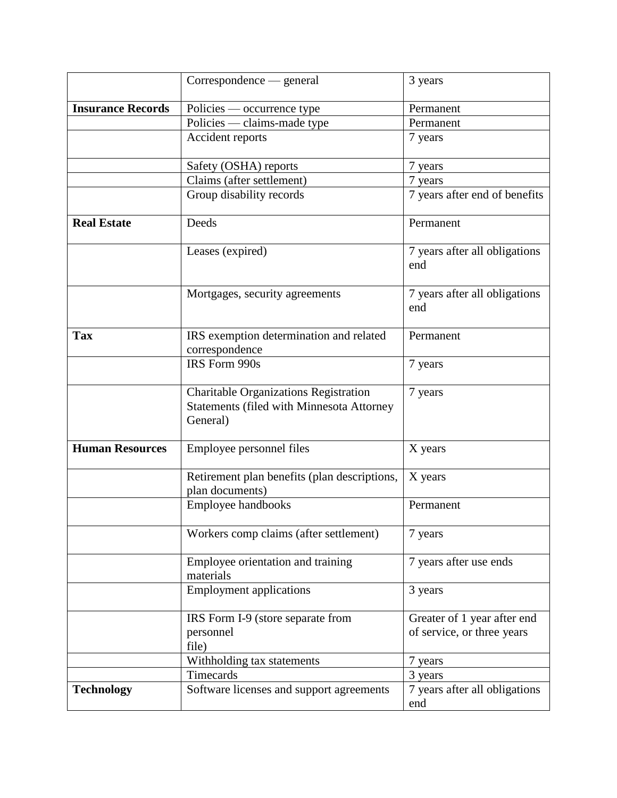|                          | Correspondence — general                                                                                     | 3 years                                                   |
|--------------------------|--------------------------------------------------------------------------------------------------------------|-----------------------------------------------------------|
| <b>Insurance Records</b> | Policies — occurrence type                                                                                   | Permanent                                                 |
|                          | Policies — claims-made type                                                                                  | Permanent                                                 |
|                          | Accident reports                                                                                             | 7 years                                                   |
|                          | Safety (OSHA) reports                                                                                        | 7 years                                                   |
|                          | Claims (after settlement)                                                                                    | 7 years                                                   |
|                          | Group disability records                                                                                     | 7 years after end of benefits                             |
| <b>Real Estate</b>       | Deeds                                                                                                        | Permanent                                                 |
|                          | Leases (expired)                                                                                             | 7 years after all obligations<br>end                      |
|                          | Mortgages, security agreements                                                                               | 7 years after all obligations<br>end                      |
| <b>Tax</b>               | IRS exemption determination and related<br>correspondence                                                    | Permanent                                                 |
|                          | IRS Form 990s                                                                                                | 7 years                                                   |
|                          | <b>Charitable Organizations Registration</b><br><b>Statements (filed with Minnesota Attorney</b><br>General) | 7 years                                                   |
| <b>Human Resources</b>   | Employee personnel files                                                                                     | X years                                                   |
|                          | Retirement plan benefits (plan descriptions,<br>plan documents)                                              | X years                                                   |
|                          | Employee handbooks                                                                                           | Permanent                                                 |
|                          | Workers comp claims (after settlement)                                                                       | 7 years                                                   |
|                          | Employee orientation and training<br>materials                                                               | 7 years after use ends                                    |
|                          | <b>Employment applications</b>                                                                               | 3 years                                                   |
|                          | IRS Form I-9 (store separate from<br>personnel<br>file)                                                      | Greater of 1 year after end<br>of service, or three years |
|                          | Withholding tax statements                                                                                   | 7 years                                                   |
|                          | Timecards                                                                                                    | 3 years                                                   |
| <b>Technology</b>        | Software licenses and support agreements                                                                     | 7 years after all obligations<br>end                      |